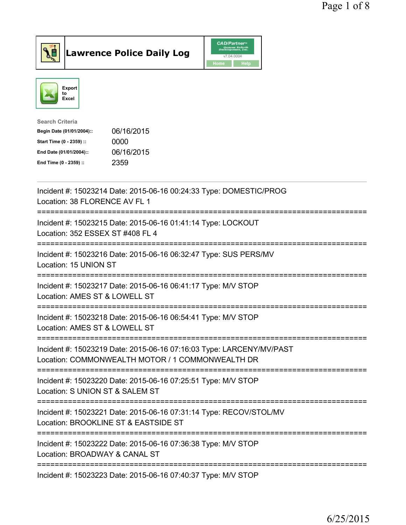



| <b>Search Criteria</b>    |            |
|---------------------------|------------|
| Begin Date (01/01/2004):: | 06/16/2015 |
| Start Time (0 - 2359) ::  | 0000       |
| End Date (01/01/2004)::   | 06/16/2015 |
| End Time (0 - 2359) ::    | 2359       |
|                           |            |

| Incident #: 15023214 Date: 2015-06-16 00:24:33 Type: DOMESTIC/PROG<br>Location: 38 FLORENCE AV FL 1                                        |
|--------------------------------------------------------------------------------------------------------------------------------------------|
| Incident #: 15023215 Date: 2015-06-16 01:41:14 Type: LOCKOUT<br>Location: 352 ESSEX ST #408 FL 4                                           |
| Incident #: 15023216 Date: 2015-06-16 06:32:47 Type: SUS PERS/MV<br>Location: 15 UNION ST                                                  |
| Incident #: 15023217 Date: 2015-06-16 06:41:17 Type: M/V STOP<br>Location: AMES ST & LOWELL ST                                             |
| Incident #: 15023218 Date: 2015-06-16 06:54:41 Type: M/V STOP<br>Location: AMES ST & LOWELL ST<br>=======================                  |
| Incident #: 15023219 Date: 2015-06-16 07:16:03 Type: LARCENY/MV/PAST<br>Location: COMMONWEALTH MOTOR / 1 COMMONWEALTH DR                   |
| Incident #: 15023220 Date: 2015-06-16 07:25:51 Type: M/V STOP<br>Location: S UNION ST & SALEM ST<br>-----------------------                |
| Incident #: 15023221 Date: 2015-06-16 07:31:14 Type: RECOV/STOL/MV<br>Location: BROOKLINE ST & EASTSIDE ST<br>____________________________ |
| Incident #: 15023222 Date: 2015-06-16 07:36:38 Type: M/V STOP<br>Location: BROADWAY & CANAL ST                                             |
| Incident #: 15023223 Date: 2015-06-16 07:40:37 Type: M/V STOP                                                                              |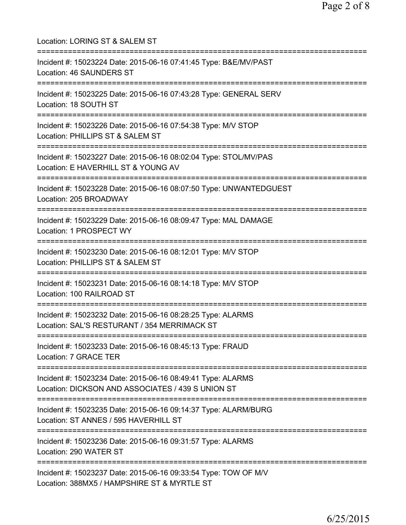| Location: LORING ST & SALEM ST                                                                                                          |
|-----------------------------------------------------------------------------------------------------------------------------------------|
| Incident #: 15023224 Date: 2015-06-16 07:41:45 Type: B&E/MV/PAST<br>Location: 46 SAUNDERS ST<br>:=====================                  |
| Incident #: 15023225 Date: 2015-06-16 07:43:28 Type: GENERAL SERV<br>Location: 18 SOUTH ST                                              |
| Incident #: 15023226 Date: 2015-06-16 07:54:38 Type: M/V STOP<br>Location: PHILLIPS ST & SALEM ST<br>;================================= |
| Incident #: 15023227 Date: 2015-06-16 08:02:04 Type: STOL/MV/PAS<br>Location: E HAVERHILL ST & YOUNG AV<br>===========================  |
| Incident #: 15023228 Date: 2015-06-16 08:07:50 Type: UNWANTEDGUEST<br>Location: 205 BROADWAY<br>=========================               |
| Incident #: 15023229 Date: 2015-06-16 08:09:47 Type: MAL DAMAGE<br>Location: 1 PROSPECT WY                                              |
| Incident #: 15023230 Date: 2015-06-16 08:12:01 Type: M/V STOP<br>Location: PHILLIPS ST & SALEM ST                                       |
| Incident #: 15023231 Date: 2015-06-16 08:14:18 Type: M/V STOP<br>Location: 100 RAILROAD ST                                              |
| Incident #: 15023232 Date: 2015-06-16 08:28:25 Type: ALARMS<br>Location: SAL'S RESTURANT / 354 MERRIMACK ST                             |
| Incident #: 15023233 Date: 2015-06-16 08:45:13 Type: FRAUD<br>Location: 7 GRACE TER                                                     |
| Incident #: 15023234 Date: 2015-06-16 08:49:41 Type: ALARMS<br>Location: DICKSON AND ASSOCIATES / 439 S UNION ST                        |
| Incident #: 15023235 Date: 2015-06-16 09:14:37 Type: ALARM/BURG<br>Location: ST ANNES / 595 HAVERHILL ST                                |
| Incident #: 15023236 Date: 2015-06-16 09:31:57 Type: ALARMS<br>Location: 290 WATER ST                                                   |
| Incident #: 15023237 Date: 2015-06-16 09:33:54 Type: TOW OF M/V<br>Location: 388MX5 / HAMPSHIRE ST & MYRTLE ST                          |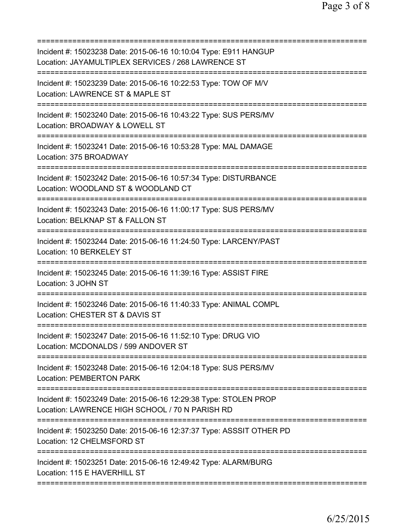| Incident #: 15023238 Date: 2015-06-16 10:10:04 Type: E911 HANGUP<br>Location: JAYAMULTIPLEX SERVICES / 268 LAWRENCE ST                    |
|-------------------------------------------------------------------------------------------------------------------------------------------|
| Incident #: 15023239 Date: 2015-06-16 10:22:53 Type: TOW OF M/V<br>Location: LAWRENCE ST & MAPLE ST                                       |
| Incident #: 15023240 Date: 2015-06-16 10:43:22 Type: SUS PERS/MV<br>Location: BROADWAY & LOWELL ST                                        |
| Incident #: 15023241 Date: 2015-06-16 10:53:28 Type: MAL DAMAGE<br>Location: 375 BROADWAY                                                 |
| Incident #: 15023242 Date: 2015-06-16 10:57:34 Type: DISTURBANCE<br>Location: WOODLAND ST & WOODLAND CT                                   |
| Incident #: 15023243 Date: 2015-06-16 11:00:17 Type: SUS PERS/MV<br>Location: BELKNAP ST & FALLON ST                                      |
| ========<br>Incident #: 15023244 Date: 2015-06-16 11:24:50 Type: LARCENY/PAST<br>Location: 10 BERKELEY ST                                 |
| Incident #: 15023245 Date: 2015-06-16 11:39:16 Type: ASSIST FIRE<br>Location: 3 JOHN ST                                                   |
| =================================<br>Incident #: 15023246 Date: 2015-06-16 11:40:33 Type: ANIMAL COMPL<br>Location: CHESTER ST & DAVIS ST |
| Incident #: 15023247 Date: 2015-06-16 11:52:10 Type: DRUG VIO<br>Location: MCDONALDS / 599 ANDOVER ST                                     |
| ================================<br>Incident #: 15023248 Date: 2015-06-16 12:04:18 Type: SUS PERS/MV<br><b>Location: PEMBERTON PARK</b>   |
| Incident #: 15023249 Date: 2015-06-16 12:29:38 Type: STOLEN PROP<br>Location: LAWRENCE HIGH SCHOOL / 70 N PARISH RD                       |
| Incident #: 15023250 Date: 2015-06-16 12:37:37 Type: ASSSIT OTHER PD<br>Location: 12 CHELMSFORD ST                                        |
| Incident #: 15023251 Date: 2015-06-16 12:49:42 Type: ALARM/BURG<br>Location: 115 E HAVERHILL ST                                           |
|                                                                                                                                           |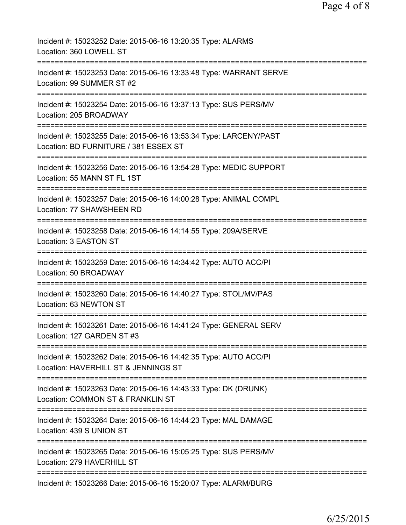| Incident #: 15023252 Date: 2015-06-16 13:20:35 Type: ALARMS<br>Location: 360 LOWELL ST                                      |
|-----------------------------------------------------------------------------------------------------------------------------|
| Incident #: 15023253 Date: 2015-06-16 13:33:48 Type: WARRANT SERVE<br>Location: 99 SUMMER ST #2                             |
| Incident #: 15023254 Date: 2015-06-16 13:37:13 Type: SUS PERS/MV<br>Location: 205 BROADWAY                                  |
| Incident #: 15023255 Date: 2015-06-16 13:53:34 Type: LARCENY/PAST<br>Location: BD FURNITURE / 381 ESSEX ST                  |
| Incident #: 15023256 Date: 2015-06-16 13:54:28 Type: MEDIC SUPPORT<br>Location: 55 MANN ST FL 1ST                           |
| Incident #: 15023257 Date: 2015-06-16 14:00:28 Type: ANIMAL COMPL<br>Location: 77 SHAWSHEEN RD                              |
| Incident #: 15023258 Date: 2015-06-16 14:14:55 Type: 209A/SERVE<br>Location: 3 EASTON ST                                    |
| ;=============================<br>Incident #: 15023259 Date: 2015-06-16 14:34:42 Type: AUTO ACC/PI<br>Location: 50 BROADWAY |
| Incident #: 15023260 Date: 2015-06-16 14:40:27 Type: STOL/MV/PAS<br>Location: 63 NEWTON ST                                  |
| Incident #: 15023261 Date: 2015-06-16 14:41:24 Type: GENERAL SERV<br>Location: 127 GARDEN ST #3                             |
| Incident #: 15023262 Date: 2015-06-16 14:42:35 Type: AUTO ACC/PI<br>Location: HAVERHILL ST & JENNINGS ST                    |
| Incident #: 15023263 Date: 2015-06-16 14:43:33 Type: DK (DRUNK)<br>Location: COMMON ST & FRANKLIN ST                        |
| Incident #: 15023264 Date: 2015-06-16 14:44:23 Type: MAL DAMAGE<br>Location: 439 S UNION ST                                 |
| Incident #: 15023265 Date: 2015-06-16 15:05:25 Type: SUS PERS/MV<br>Location: 279 HAVERHILL ST                              |
| Incident #: 15023266 Date: 2015-06-16 15:20:07 Type: ALARM/BURG                                                             |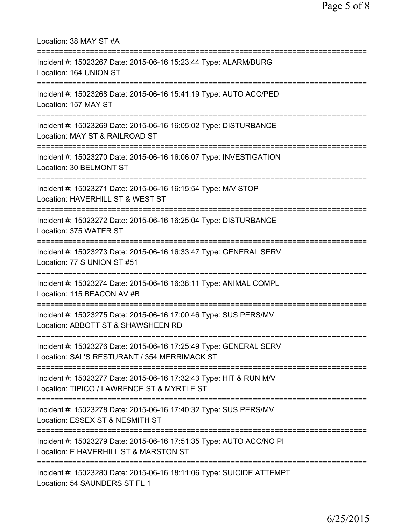| Location: 38 MAY ST #A                                                                                                                               |
|------------------------------------------------------------------------------------------------------------------------------------------------------|
| Incident #: 15023267 Date: 2015-06-16 15:23:44 Type: ALARM/BURG<br>Location: 164 UNION ST<br>===========================                             |
| Incident #: 15023268 Date: 2015-06-16 15:41:19 Type: AUTO ACC/PED<br>Location: 157 MAY ST<br>===============================                         |
| Incident #: 15023269 Date: 2015-06-16 16:05:02 Type: DISTURBANCE<br>Location: MAY ST & RAILROAD ST<br>================================               |
| Incident #: 15023270 Date: 2015-06-16 16:06:07 Type: INVESTIGATION<br>Location: 30 BELMONT ST                                                        |
| Incident #: 15023271 Date: 2015-06-16 16:15:54 Type: M/V STOP<br>Location: HAVERHILL ST & WEST ST                                                    |
| Incident #: 15023272 Date: 2015-06-16 16:25:04 Type: DISTURBANCE<br>Location: 375 WATER ST                                                           |
| Incident #: 15023273 Date: 2015-06-16 16:33:47 Type: GENERAL SERV<br>Location: 77 S UNION ST #51                                                     |
| Incident #: 15023274 Date: 2015-06-16 16:38:11 Type: ANIMAL COMPL<br>Location: 115 BEACON AV #B<br>======================                            |
| Incident #: 15023275 Date: 2015-06-16 17:00:46 Type: SUS PERS/MV<br>Location: ABBOTT ST & SHAWSHEEN RD                                               |
| Incident #: 15023276 Date: 2015-06-16 17:25:49 Type: GENERAL SERV<br>Location: SAL'S RESTURANT / 354 MERRIMACK ST                                    |
| Incident #: 15023277 Date: 2015-06-16 17:32:43 Type: HIT & RUN M/V<br>Location: TIPICO / LAWRENCE ST & MYRTLE ST                                     |
| Incident #: 15023278 Date: 2015-06-16 17:40:32 Type: SUS PERS/MV<br>Location: ESSEX ST & NESMITH ST                                                  |
| :===================================<br>Incident #: 15023279 Date: 2015-06-16 17:51:35 Type: AUTO ACC/NO PI<br>Location: E HAVERHILL ST & MARSTON ST |
| Incident #: 15023280 Date: 2015-06-16 18:11:06 Type: SUICIDE ATTEMPT<br>Location: 54 SAUNDERS ST FL 1                                                |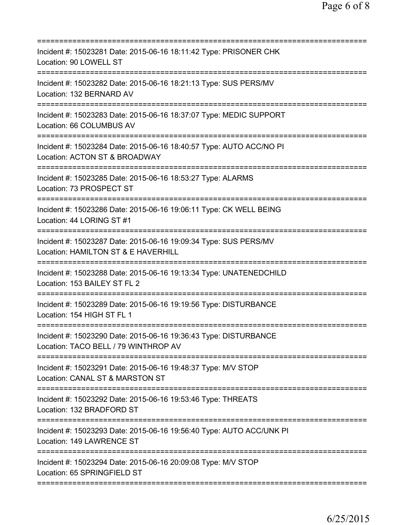| Incident #: 15023281 Date: 2015-06-16 18:11:42 Type: PRISONER CHK<br>Location: 90 LOWELL ST                                          |
|--------------------------------------------------------------------------------------------------------------------------------------|
| Incident #: 15023282 Date: 2015-06-16 18:21:13 Type: SUS PERS/MV<br>Location: 132 BERNARD AV                                         |
| Incident #: 15023283 Date: 2015-06-16 18:37:07 Type: MEDIC SUPPORT<br>Location: 66 COLUMBUS AV                                       |
| Incident #: 15023284 Date: 2015-06-16 18:40:57 Type: AUTO ACC/NO PI<br>Location: ACTON ST & BROADWAY                                 |
| Incident #: 15023285 Date: 2015-06-16 18:53:27 Type: ALARMS<br>Location: 73 PROSPECT ST                                              |
| Incident #: 15023286 Date: 2015-06-16 19:06:11 Type: CK WELL BEING<br>Location: 44 LORING ST #1                                      |
| Incident #: 15023287 Date: 2015-06-16 19:09:34 Type: SUS PERS/MV<br>Location: HAMILTON ST & E HAVERHILL<br>========================= |
| Incident #: 15023288 Date: 2015-06-16 19:13:34 Type: UNATENEDCHILD<br>Location: 153 BAILEY ST FL 2                                   |
| Incident #: 15023289 Date: 2015-06-16 19:19:56 Type: DISTURBANCE<br>Location: 154 HIGH ST FL 1                                       |
| Incident #: 15023290 Date: 2015-06-16 19:36:43 Type: DISTURBANCE<br>Location: TACO BELL / 79 WINTHROP AV                             |
| ;==============================<br>Incident #: 15023291 Date: 2015-06-16 19:48:37 Type: M/V STOP<br>Location: CANAL ST & MARSTON ST  |
| Incident #: 15023292 Date: 2015-06-16 19:53:46 Type: THREATS<br>Location: 132 BRADFORD ST                                            |
| Incident #: 15023293 Date: 2015-06-16 19:56:40 Type: AUTO ACC/UNK PI<br>Location: 149 LAWRENCE ST                                    |
| Incident #: 15023294 Date: 2015-06-16 20:09:08 Type: M/V STOP<br>Location: 65 SPRINGFIELD ST                                         |
|                                                                                                                                      |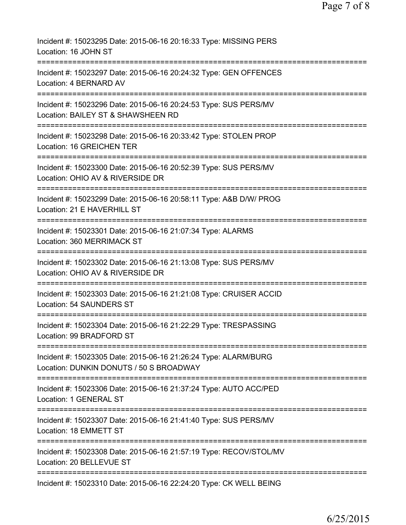| Incident #: 15023295 Date: 2015-06-16 20:16:33 Type: MISSING PERS<br>Location: 16 JOHN ST                  |
|------------------------------------------------------------------------------------------------------------|
| Incident #: 15023297 Date: 2015-06-16 20:24:32 Type: GEN OFFENCES<br>Location: 4 BERNARD AV                |
| Incident #: 15023296 Date: 2015-06-16 20:24:53 Type: SUS PERS/MV<br>Location: BAILEY ST & SHAWSHEEN RD     |
| Incident #: 15023298 Date: 2015-06-16 20:33:42 Type: STOLEN PROP<br>Location: 16 GREICHEN TER              |
| Incident #: 15023300 Date: 2015-06-16 20:52:39 Type: SUS PERS/MV<br>Location: OHIO AV & RIVERSIDE DR       |
| Incident #: 15023299 Date: 2015-06-16 20:58:11 Type: A&B D/W/ PROG<br>Location: 21 E HAVERHILL ST          |
| Incident #: 15023301 Date: 2015-06-16 21:07:34 Type: ALARMS<br>Location: 360 MERRIMACK ST                  |
| Incident #: 15023302 Date: 2015-06-16 21:13:08 Type: SUS PERS/MV<br>Location: OHIO AV & RIVERSIDE DR       |
| Incident #: 15023303 Date: 2015-06-16 21:21:08 Type: CRUISER ACCID<br>Location: 54 SAUNDERS ST             |
| Incident #: 15023304 Date: 2015-06-16 21:22:29 Type: TRESPASSING<br>Location: 99 BRADFORD ST               |
| Incident #: 15023305 Date: 2015-06-16 21:26:24 Type: ALARM/BURG<br>Location: DUNKIN DONUTS / 50 S BROADWAY |
| Incident #: 15023306 Date: 2015-06-16 21:37:24 Type: AUTO ACC/PED<br><b>Location: 1 GENERAL ST</b>         |
| Incident #: 15023307 Date: 2015-06-16 21:41:40 Type: SUS PERS/MV<br>Location: 18 EMMETT ST                 |
| Incident #: 15023308 Date: 2015-06-16 21:57:19 Type: RECOV/STOL/MV<br>Location: 20 BELLEVUE ST             |
| Incident #: 15023310 Date: 2015-06-16 22:24:20 Type: CK WELL BEING                                         |